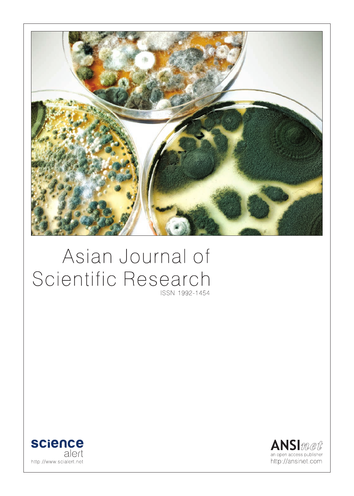

# Asian Journal of Scientific Research ISSN 1992-1454



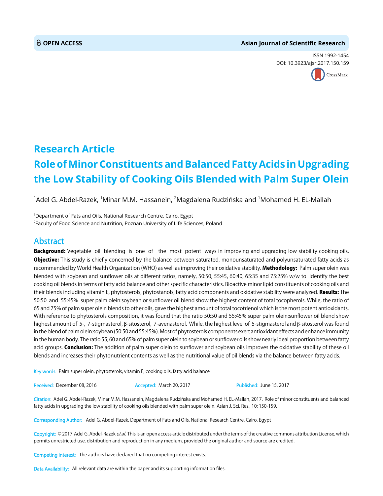#### **OPEN ACCESS Asian Journal of Scientific Research**

ISSN 1992-1454 DOI: 10.3923/ajsr.2017.150.159



## **Research Article Role of Minor Constituents and Balanced Fatty Acids in Upgrading the Low Stability of Cooking Oils Blended with Palm Super Olein**

 $^1$ Adel G. Abdel-Razek,  $^1$ Minar M.M. Hassanein,  $^2$ Magdalena Rudzińska and  $^1$ Mohamed H. EL-Mallah

<sup>1</sup>Department of Fats and Oils, National Research Centre, Cairo, Egypt  $^2$ Faculty of Food Science and Nutrition, Poznan University of Life Sciences, Poland

### Abstract

Background: Vegetable oil blending is one of the most potent ways in improving and upgrading low stability cooking oils. Objective: This study is chiefly concerned by the balance between saturated, monounsaturated and polyunsaturated fatty acids as recommended by World Health Organization (WHO) as well as improving their oxidative stability. Methodology: Palm super olein was blended with soybean and sunflower oils at different ratios, namely, 50:50, 55:45, 60:40, 65:35 and 75:25% w/w to identify the best cooking oil blends in terms of fatty acid balance and other specific characteristics. Bioactive minor lipid constituents of cooking oils and their blends including vitamin E, phytosterols, phytostanols, fatty acid components and oxidative stability were analyzed. Results: The 50:50 and 55:45% super palm olein:soybean or sunflower oil blend show the highest content of total tocopherols. While, the ratio of 65 and 75% of palm super olein blends to other oils, gave the highest amount of total tocotrienol which is the most potent antioxidants. With reference to phytosterols composition, it was found that the ratio 50:50 and 55:45% super palm olein:sunflower oil blend show highest amount of 5-, 7-stigmasterol, β-sitosterol, 7-avenasterol. While, the highest level of 5-stigmasterol and β-sitosterol was found in the blend of palm olein:soybean (50:50 and 55:45%). Most of phytosterols components exert antioxidant effects and enhance immunity in the human body. The ratio 55, 60 and 65% of palm super olein to soybean or sunflower oils show nearly ideal proportion between fatty acid groups. Conclusion: The addition of palm super olein to sunflower and soybean oils improves the oxidative stability of these oil blends and increases their phytonutrient contents as well as the nutritional value of oil blends via the balance between fatty acids.

Key words: Palm super olein, phytosterols, vitamin E, cooking oils, fatty acid balance

Received: December 08, 2016 **Accepted: March 20, 2017** Published: June 15, 2017

Citation: Adel G. Abdel-Razek, Minar M.M. Hassanein, Magdalena Rudzińska and Mohamed H. EL-Mallah, 2017. Role of minor constituents and balanced fatty acids in upgrading the low stability of cooking oils blended with palm super olein. Asian J. Sci. Res., 10: 150-159.

Corresponding Author: Adel G. Abdel-Razek, Department of Fats and Oils, National Research Centre, Cairo, Egypt

Copyright: © 2017 Adel G. Abdel-Razek et al. This is an open access article distributed under the terms of the creative commons attribution License, which permits unrestricted use, distribution and reproduction in any medium, provided the original author and source are credited.

Competing Interest: The authors have declared that no competing interest exists.

Data Availability: All relevant data are within the paper and its supporting information files.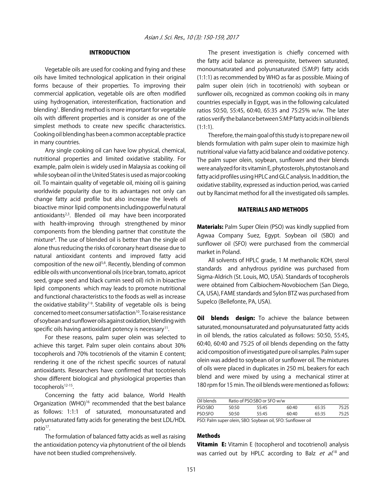#### INTRODUCTION

Vegetable oils are used for cooking and frying and these oils have limited technological application in their original forms because of their properties. To improving their commercial application, vegetable oils are often modified using hydrogenation, interesterification, fractionation and blending<sup>1</sup>. Blending method is more important for vegetable oils with different properties and is consider as one of the simplest methods to create new specific characteristics. Cooking oil blending has been a common acceptable practice in many countries.

Any single cooking oil can have low physical, chemical, nutritional properties and limited oxidative stability. For example, palm olein is widely used in Malaysia as cooking oil while soybean oil in the United States is used as major cooking oil. To maintain quality of vegetable oil, mixing oil is gaining worldwide popularity due to its advantages not only can change fatty acid profile but also increase the levels of bioactive minor lipid components including powerful natural antioxidants<sup>2,3</sup>. Blended oil may have been incorporated with health-improving through strengthened by minor components from the blending partner that constitute the mixture<sup>4</sup>. The use of blended oil is better than the single oil alone thus reducing the risks of coronary heart disease due to natural antioxidant contents and improved fatty acid composition of the new oil<sup>5,6</sup>. Recently, blending of common edible oils with unconventional oils (rice bran, tomato, apricot seed, grape seed and black cumin seed oil) rich in bioactive lipid components which may leads to promote nutritional and functional characteristics to the foods as well as increase the oxidative stability<sup>7-9</sup>. Stability of vegetable oils is being concerned to meet consumer satisfaction<sup>10</sup>. To raise resistance of soybean and sunflower oils against oxidation, blending with specific oils having antioxidant potency is necessary $11$ .

For these reasons, palm super olein was selected to achieve this target. Palm super olein contains about 30% tocopherols and 70% tocotrienols of the vitamin E content; rendering it one of the richest specific sources of natural antioxidants. Researchers have confirmed that tocotrienols show different biological and physiological properties than tocopherols<sup>12-15</sup>.

Concerning the fatty acid balance, World Health Organization (WHO)<sup>16</sup> recommended that the best balance as follows: 1:1:1 of saturated, monounsaturated and polyunsaturated fatty acids for generating the best LDL/HDL ratio $17$ .

The formulation of balanced fatty acids as well as raising the antioxidation potency via phytonutrient of the oil blends have not been studied comprehensively.

The present investigation is chiefly concerned with the fatty acid balance as prerequisite, between saturated, monounsaturated and polyunsaturated (S:M:P) fatty acids (1:1:1) as recommended by WHO as far as possible. Mixing of palm super olein (rich in tocotrienols) with soybean or sunflower oils, recognized as common cooking oils in many countries especially in Egypt, was in the following calculated ratios 50:50, 55:45, 60:40, 65:35 and 75:25% w/w. The later ratios verify the balance between S:M:P fatty acids in oil blends (1:1:1).

Therefore, the main goal of this study is to prepare new oil blends formulation with palm super olein to maximize high nutritional value via fatty acid balance and oxidative potency. The palm super olein, soybean, sunflower and their blends were analyzed for its vitamin E, phytosterols, phytostanols and fatty acid profiles using HPLC and GLC analysis. In addition, the oxidative stability, expressed as induction period, was carried out by Rancimat method for all the investigated oils samples.

#### MATERIALS AND METHODS

Materials: Palm Super Olein (PSO) was kindly supplied from Agwaa Company Suez, Egypt. Soybean oil (SBO) and sunflower oil (SFO) were purchased from the commercial market in Poland.

All solvents of HPLC grade, 1 M methanolic KOH, sterol standards and anhydrous pyridine was purchased from Sigma-Aldrich (St. Louis, MO, USA). Standards of tocopherols were obtained from Calbiochem-Novobiochem (San Diego, CA, USA), FAME standards and Sylon BTZ was purchased from Supelco (Bellefonte, PA, USA).

**Oil blends design:** To achieve the balance between saturated, monounsaturated and polyunsaturated fatty acids in oil blends, the ratios calculated as follows: 50:50, 55:45, 60:40, 60:40 and 75:25 of oil blends depending on the fatty acid composition of investigated pure oil samples. Palm super olein was added to soybean oil or sunflower oil. The mixtures of oils were placed in duplicates in 250 mL beakers for each blend and were mixed by using a mechanical stirrer at 180 rpm for 15 min. The oil blends were mentioned as follows:

| Oil blends                                                  |       | Ratio of PSO:SBO or SFO w/w |       |       |       |  |
|-------------------------------------------------------------|-------|-----------------------------|-------|-------|-------|--|
| PSO:SBO                                                     | 50.50 | 55:45                       | 60.40 | 65:35 | 75:25 |  |
| PSO:SFO                                                     | 50.50 | 55:45                       | 60.40 | 65:35 | 75.25 |  |
| PSO: Palm super olein, SBO: Soybean oil, SFO: Sunflower oil |       |                             |       |       |       |  |

#### **Methods**

**Vitamin E:** Vitamin E (tocopherol and tocotrienol) analysis was carried out by HPLC according to Balz *et al.*<sup>18</sup> and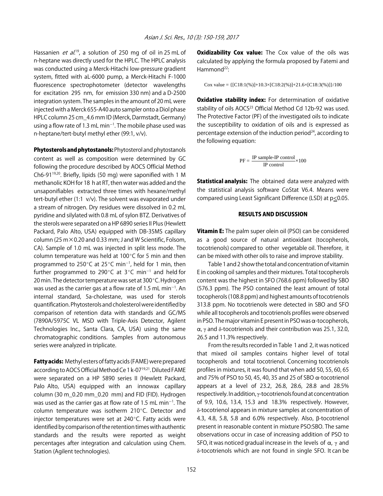Hassanien *et al.*<sup>19</sup>, a solution of 250 mg of oil in 25 mL of n-heptane was directly used for the HPLC. The HPLC analysis was conducted using a Merck-Hitachi low-pressure gradient system, fitted with aL-6000 pump, a Merck-Hitachi F-1000 fluorescence spectrophotometer (detector wavelengths for excitation 295 nm, for emission 330 nm) and a D-2500 integration system. The samples in the amount of 20 mL were injected with a Merck 655-A40 auto sampler onto a Diol phase HPLC column 25 cm\_4.6 mm ID (Merck, Darmstadt, Germany) using a flow rate of 1.3 mL min<sup>-1</sup>. The mobile phase used was n-heptane/tert-butyl methyl ether (99:1, v/v).

Phytosterols and phytostanols: Phytosterol and phytostanols content as well as composition were determined by GC following the procedure described by AOCS Official Method Ch6-9119,20. Briefly, lipids (50 mg) were saponified with 1 M methanolic KOH for 18 h at RT, then water was added and the unsaponifiables extracted three times with hexane/methyl tert-butyl ether (1:1 v/v). The solvent was evaporated under a stream of nitrogen. Dry residues were dissolved in 0.2 mL pyridine and silylated with 0.8 mL of sylon BTZ. Derivatives of the sterols were separated on a HP 6890 series II Plus (Hewlett Packard, Palo Alto, USA) equipped with DB-35MS capillary column (25 m×0.20 and 0.33 mm; J and W Scientific, Folsom, CA). Sample of 1.0 mL was injected in split less mode. The column temperature was held at 100 $\degree$ C for 5 min and then programmed to 250 $^{\circ}$ C at 25 $^{\circ}$ C min<sup>-1</sup>, held for 1 min, then further programmed to 290 $^{\circ}$ C at 3 $^{\circ}$ C min<sup>-1</sup> and held for 20 min. The detector temperature was set at  $300^{\circ}$ C. Hydrogen was used as the carrier gas at a flow rate of 1.5 mL min $^{-1}$ . An internal standard, 5a-cholestane, was used for sterols quantification. Phytosterols and cholesterol were identified by comparison of retention data with standards and GC/MS (7890A/5975C VL MSD with Triple-Axis Detector, Agilent Technologies Inc., Santa Clara, CA, USA) using the same chromatographic conditions. Samples from autonomous series were analyzed in triplicate.

Fatty acids: Methyl esters of fatty acids (FAME) were prepared according to AOCS Official Method Ce 1 k-07<sup>19,21</sup>. Diluted FAME were separated on a HP 5890 series II (Hewlett Packard, Palo Alto, USA) equipped with an innowax capillary column (30 m\_0.20 mm\_0.20 mm) and FID (FID). Hydrogen was used as the carrier gas at flow rate of 1.5 mL min<sup>-1</sup>. The column temperature was isotherm 210°C. Detector and injector temperatures were set at  $240^{\circ}$ C. Fatty acids were identified by comparison of the retention times with authentic standards and the results were reported as weight percentages after integration and calculation using Chem. Station (Agilent technologies).

**Oxidizability Cox value:** The Cox value of the oils was calculated by applying the formula proposed by Fatemi and Hammond<sup>22</sup>:

Cox value =  $\{ [C18:1(\%)]+10.3\times [C18:2(\%)]+21.6\times [C18:3(\%)]\}/100$ 

Oxidative stability index: For determination of oxidative stability of oils AOCS<sup>23</sup> Official Method Cd 12b-92 was used. The Protective Factor (PF) of the investigated oils to indicate the susceptibility to oxidation of oils and is expressed as percentage extension of the induction period $24$ , according to the following equation:

$$
PF = \frac{IP \ sample\text{-}IP \ control}{IP \ control} \times 100
$$

Statistical analysis: The obtained data were analyzed with the statistical analysis software CoStat V6.4. Means were compared using Least Significant Difference (LSD) at p<0.05.

#### RESULTS AND DISCUSSION

**Vitamin E:** The palm super olein oil (PSO) can be considered as a good source of natural antioxidant (tocopherols, tocotrienols) compared to other vegetable oil. Therefore, it can be mixed with other oils to raise and improve stability.

Table 1 and 2 show the total and concentration of vitamin E in cooking oil samples and their mixtures. Total tocopherols content was the highest in SFO (768.6 ppm) followed by SBO (576.3 ppm). The PSO contained the least amount of total tocopherols (108.8 ppm) and highest amounts of tocotrienols 313.8 ppm. No tocotrienols were detected in SBO and SFO while all tocopherols and tocotrienols profiles were observed in PSO. The major vitamin E present in PSO was  $\alpha$ -tocopherols,  $\alpha$ ,  $\gamma$  and  $\delta$ -tocotrienols and their contribution was 25.1, 32.0, 26.5 and 11.3% respectively.

From the results recorded in Table 1 and 2, it was noticed that mixed oil samples contains higher level of total tocopherols and total tocotrienol. Concerning tocotrienols profiles in mixtures, it was found that when add 50, 55, 60, 65 and 75% of PSO to 50, 45, 40, 35 and 25 of SBO  $\alpha$ -tocotrienol appears at a level of 23.2, 26.8, 28.6, 28.8 and 28.5% respectively. In addition, γ-tocotrienols found at concentration of 9.9, 10.6, 13.4, 15.3 and 18.3% respectively. However, δ-tocotrienol appears in mixture samples at concentration of 4.3, 4.8, 5.8, 5.8 and 6.0% respectively. Also, \$-tocotrienol present in reasonable content in mixture PSO:SBO. The same observations occur in case of increasing addition of PSO to SFO, it was noticed gradual increase in the levels of  $\alpha$ ,  $\gamma$  and δ-tocotrienols which are not found in single SFO. It can be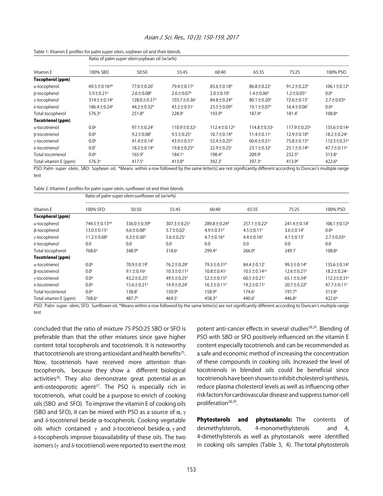| Asian J. Sci. Res., 10 (3): 150-159, 2017 |  |  |  |
|-------------------------------------------|--|--|--|
|-------------------------------------------|--|--|--|

#### Table 1: Vitamin E profiles for palm super olein, soybean oil and their blends

|                         | Ratio of palm super olein:soybean oil (w/w%) |                               |                               |                               |                              |                              |                               |  |  |  |
|-------------------------|----------------------------------------------|-------------------------------|-------------------------------|-------------------------------|------------------------------|------------------------------|-------------------------------|--|--|--|
| Vitamin E               | 100% SBO                                     | 50:50                         | 55:45                         | 60:40                         | 65:35                        | 75:25                        | 100% PSO                      |  |  |  |
| <b>Tocopherol (ppm)</b> |                                              |                               |                               |                               |                              |                              |                               |  |  |  |
| $\alpha$ -tocopherol    | $69.5 \pm 0.169*$                            | $77.0 \pm 0.26$ <sup>f</sup>  | 79.4±0.17 <sup>e</sup>        | $83.6 \pm 0.18$ <sup>d</sup>  | $86.8 \pm 0.22$              | $91.2 \pm 0.22^b$            | $106.1 \pm 0.12$ <sup>a</sup> |  |  |  |
| β-tocopherol            | $5.9 \pm 0.21$ <sup>a</sup>                  | $2.6 \pm 0.08$ <sup>b</sup>   | $2.6 \pm 0.07$ <sup>b</sup>   | $2.0 \pm 0.10$ <sup>c</sup>   | $1.4 \pm 0.06$ <sup>d</sup>  | $1.2 \pm 0.05$ d             | 0.0 <sup>e</sup>              |  |  |  |
| γ-tocopherol            | 314.5 ± 0.14 <sup>a</sup>                    | $128.0 \pm 0.31$ <sup>b</sup> | $103.7 \pm 0.36$ c            | $84.8 \pm 0.24$ <sup>d</sup>  | $80.1 \pm 0.20$ <sup>e</sup> | 72.6 ± 0.15 <sup>f</sup>     | $2.7 \pm 0.03$ <sup>g</sup>   |  |  |  |
| δ-tocopherol            | $186.4 \pm 0.24$ <sup>a</sup>                | $44.2 \pm 0.32^b$             | $43.2 \pm 0.31$ <sup>c</sup>  | $23.5 \pm 0.09$ <sup>d</sup>  | $19.1 \pm 0.07$ <sup>e</sup> | $16.4 \pm 0.06$ <sup>f</sup> | 0.09                          |  |  |  |
| Total tocopherol        | 576.3a                                       | 251.8 <sup>b</sup>            | 228.9°                        | 193.9 <sup>d</sup>            | $187.4^e$                    | 181.4 <sup>f</sup>           | 108.8 <sup>9</sup>            |  |  |  |
| Tocotrienol (ppm)       |                                              |                               |                               |                               |                              |                              |                               |  |  |  |
| $\alpha$ -tocotrienol   | 0.09                                         | $97.1 \pm 0.24$ <sup>f</sup>  | $110.9 \pm 0.32$ <sup>e</sup> | $112.4 \pm 0.12$ <sup>d</sup> | $114.8 \pm 0.33$ c           | $117.9 \pm 0.25^{\circ}$     | 135.6±0.14 <sup>a</sup>       |  |  |  |
| B-tocotrienol           | 0.09                                         | $9.2 \pm 0.08$ <sup>f</sup>   | $9.5 \pm 0.25^{\circ}$        | $10.7 \pm 0.14$ <sup>d</sup>  | $11.4 \pm 0.11$ <sup>c</sup> | $12.9 \pm 0.10^{\circ}$      | $18.2 \pm 0.24$ <sup>a</sup>  |  |  |  |
| γ-tocotrienol           | 0.09                                         | $41.4 \pm 0.14$ <sup>f</sup>  | 43.9 $\pm$ 0.31 $^{\circ}$    | $52.4 \pm 0.25$ <sup>d</sup>  | $60.6 \pm 0.21$ <sup>c</sup> | 75.8±0.15 <sup>b</sup>       | 112.3±0.31 <sup>a</sup>       |  |  |  |
| δ-tocotrienol           | 0.0 <sup>f</sup>                             | $18.2 \pm 0.14$ <sup>e</sup>  | $19.8 \pm 0.25$ <sup>d</sup>  | $22.9 \pm 0.25$ c             | $23.1 \pm 0.32$ c            | $25.1 \pm 0.14^b$            | 47.7±0.11 <sup>a</sup>        |  |  |  |
| Total tocotrienol       | 0.09                                         | 165.9f                        | $184.1^e$                     | 198.4 <sup>d</sup>            | 209.9c                       | 232.5 <sup>b</sup>           | 313.8 <sup>a</sup>            |  |  |  |
| Total vitamin E (ppm)   | 576.3a                                       | 417.5c                        | 413.0 <sup>d</sup>            | 392.3f                        | 397.3 <sup>e</sup>           | 413.9 <sup>d</sup>           | 422.6 <sup>b</sup>            |  |  |  |

PSO: Palm super olein, SBO: Soybean oil, \*Means within a row followed by the same letter(s) are not significantly different according to Duncan's multiple range test

Table 2: Vitamin E profiles for palm super olein, sunflower oil and their blends

|                          | Ratio of palm super olein: sunflower oil (w/w%) |                               |                              |                               |                               |                               |                               |  |  |  |
|--------------------------|-------------------------------------------------|-------------------------------|------------------------------|-------------------------------|-------------------------------|-------------------------------|-------------------------------|--|--|--|
| Vitamin E                | 100% SFO                                        | 50:50                         | 55:45                        | 60:40                         | 65:35                         | 75:25                         | 100% PSO                      |  |  |  |
| Tocopherol (ppm)         |                                                 |                               |                              |                               |                               |                               |                               |  |  |  |
| $\alpha$ -tocopherol     | 744.5±0.13 <sup>a*</sup>                        | 336.0 $\pm$ 0.39 <sup>b</sup> | $307.3 \pm 0.25$ c           | $289.8 \pm 0.24$ <sup>d</sup> | $257.1 \pm 0.22$ <sup>e</sup> | $241.4 \pm 0.14$ <sup>f</sup> | $106.1 \pm 0.12$ <sup>g</sup> |  |  |  |
| β-tocopherol             | $13.0 \pm 0.15$ <sup>a</sup>                    | $6.6 \pm 0.08$ <sup>b</sup>   | $5.7 \pm 0.02$ <sup>c</sup>  | $4.9 \pm 0.31$ <sup>d</sup>   | $4.5 \pm 0.11$ <sup>e</sup>   | $3.6 \pm 0.14$ <sup>f</sup>   | 0.09                          |  |  |  |
| $\gamma$ -tocopherol     | $11.2 \pm 0.08$ <sup>a</sup>                    | $6.3 \pm 0.36^{\circ}$        | $5.6 \pm 0.25$ c             | $4.7 \pm 0.16$ <sup>d</sup>   | $4.4 \pm 0.16^e$              | $4.1 \pm 0.15$ <sup>f</sup>   | $2.7 \pm 0.03$ <sup>g</sup>   |  |  |  |
| δ-tocopherol             | 0.0                                             | 0.0                           | 0.0                          | 0.0                           | 0.0                           | 0.0                           | 0.0                           |  |  |  |
| Total tocopherol         | 768.6 <sup>a</sup>                              | 348.9 <sup>b</sup>            | 318.6 <sup>c</sup>           | 299.4 <sup>d</sup>            | $266.0^{\circ}$               | 249.1 <sup>f</sup>            | 108.8 <sup>g</sup>            |  |  |  |
| <b>Tocotrienol (ppm)</b> |                                                 |                               |                              |                               |                               |                               |                               |  |  |  |
| $\alpha$ -tocotrienol    | 0.09                                            | $70.9 \pm 0.19$ <sup>f</sup>  | 76.2±0.29 <sup>e</sup>       | $79.3 \pm 0.31$ <sup>d</sup>  | $84.4 \pm 0.12$               | 99.3 ± 0.14 <sup>b</sup>      | 135.6±0.14 <sup>a</sup>       |  |  |  |
| β-tocotrienol            | 0.0 <sup>f</sup>                                | $9.1 \pm 0.16^e$              | $10.3 \pm 0.11$ <sup>d</sup> | $10.8 \pm 0.41$ <sup>c</sup>  | $10.5 \pm 0.14$ <sup>cd</sup> | $12.6 \pm 0.21$ <sup>b</sup>  | $18.2 \pm 0.24$ <sup>a</sup>  |  |  |  |
| y-tocotrienol            | 0.0 <sup>9</sup>                                | $43.2 \pm 0.25$ <sup>f</sup>  | $49.5 \pm 0.25$ <sup>e</sup> | $52.5 \pm 0.15$ <sup>d</sup>  | $60.5 \pm 0.21$ <sup>c</sup>  | $65.1 \pm 0.34^b$             | $112.3 \pm 0.31$ <sup>a</sup> |  |  |  |
| δ-tocotrienol            | 0.09                                            | $15.6 \pm 0.21$ <sup>e</sup>  | 14.9±0.24f                   | $16.3 \pm 0.11$ <sup>d</sup>  | $19.2 \pm 0.11$ <sup>c</sup>  | $20.7 \pm 0.22$ <sup>b</sup>  | 47.7±0.11 <sup>a</sup>        |  |  |  |
| Total tocotrienol        | 0.09                                            | 138.8 <sup>f</sup>            | $150.9^{\circ}$              | 158.9 <sup>d</sup>            | 174.6 <sup>c</sup>            | 197.7 <sup>b</sup>            | 313.8 <sup>a</sup>            |  |  |  |
| Total vitamin E (ppm)    | 768.6 <sup>a</sup>                              | 487.7 <sup>b</sup>            | 469.5c                       | 458.3 <sup>d</sup>            | 440.6 <sup>f</sup>            | $446.8^{\circ}$               | 422.69                        |  |  |  |

PSO: Palm super olein, SFO: Sunflower oil, \*Means within a row followed by the same letter(s) are not significantly different according to Duncan's multiple range test

concluded that the ratio of mixture 75 PSO:25 SBO or SFO is preferable than that the other mixtures since gave higher content total tocopherols and tocotrienols. It is noteworthy that tocotrienols are strong antioxidant and health benefits $25$ . Now, tocotrienols have received more attention than tocopherols, because they show a different biological activities<sup>26</sup>. They also demonstrate great potential as an anti-osteoporotic agent<sup>27</sup>. The PSO is especially rich in tocotrienols, what could be a purpose to enrich of cooking oils (SBO and SFO). To improve the vitamin E of cooking oils (SBO and SFO), it can be mixed with PSO as a source of  $\alpha$ ,  $\gamma$ and  $\delta$ -tocotrienol beside  $\alpha$ -tocopherols. Cooking vegetable oils which contained  $γ$  and δ-tocotrienol beside  $α, γ$  and δ-tocopherols improve bioavailability of these oils. The two isomers ( $γ$  and  $δ$ -tocotrienol) were reported to exert the most potent anti-cancer effects in several studies<sup>28,29</sup>. Blending of PSO with SBO or SFO positively influenced on the vitamin E content especially tocotrienols and can be recommended as a safe and economic method of increasing the concentration of these compounds in cooking oils. Increased the level of tocotrienols in blended oils could be beneficial since tocotrienols have been shown to inhibit cholesterol synthesis, reduce plasma cholesterol levels as well as influencing other risk factors for cardiovascular disease and suppress tumor-cell proliferation<sup>28,29</sup>.

Phytosterols and phytostanols: The contents of desmethylsterols, 4-monomethylsterols and 4, 4-dimethylsterols as well as phytostanols were identified in cooking oils samples (Table 3, 4). The total phytosterols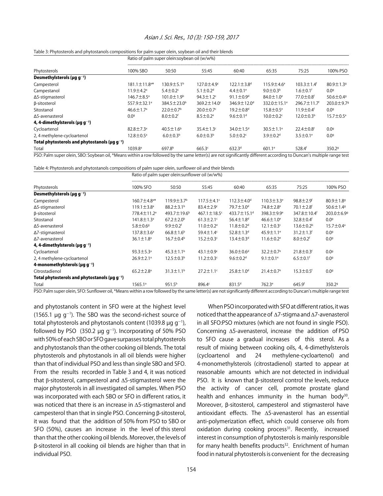#### Asian J. Sci. Res., 10 (3): 150-159, 2017

#### Table 3: Phytosterols and phytostanols compositions for palm super olein, soybean oil and their blends

|                                                                                                                                                                                                                                        | Ratio of palm super olein:soybean oil (w/w%) |                               |                             |                               |                               |                               |                        |  |
|----------------------------------------------------------------------------------------------------------------------------------------------------------------------------------------------------------------------------------------|----------------------------------------------|-------------------------------|-----------------------------|-------------------------------|-------------------------------|-------------------------------|------------------------|--|
| Phytosterols                                                                                                                                                                                                                           | 100% SBO                                     | 50:50                         | 55:45                       | 60:40                         | 65:35                         | 75:25                         | 100% PSO               |  |
| Desmethylsterols ( $\mu$ g g <sup>-1</sup> )                                                                                                                                                                                           |                                              |                               |                             |                               |                               |                               |                        |  |
| Campesterol                                                                                                                                                                                                                            | $181.1 \pm 11.8$ <sup>a*</sup>               | $130.9 \pm 5.1$ <sup>b</sup>  | $127.0 \pm 4.9$             | $122.1 \pm 3.8$ <sup>d</sup>  | $115.9 \pm 4.6$ <sup>e</sup>  | $103.3 \pm 1.4$ <sup>f</sup>  | $80.9 \pm 1.39$        |  |
| Campestanol                                                                                                                                                                                                                            | $11.9 \pm 4.2$ <sup>a</sup>                  | $5.4 \pm 0.2$                 | $5.1 \pm 0.2$ <sup>d</sup>  | $4.4 \pm 0.1$ <sup>e</sup>    | $9.0 \pm 0.3^{\circ}$         | $1.6 \pm 0.1$ <sup>f</sup>    | 0.09                   |  |
| $\Delta$ 5-stigmasterol                                                                                                                                                                                                                | 146.7±8.5 <sup>a</sup>                       | $101.0 \pm 1.9^{\circ}$       | 94.3 $\pm$ 1.2 $\epsilon$   | $91.1 \pm 0.9$ <sup>d</sup>   | $84.0 \pm 1.0$ <sup>e</sup>   | 77.0 $\pm$ 0.8f               | $50.6 \pm 0.49$        |  |
| β-sitosterol                                                                                                                                                                                                                           | $557.9 \pm 32.1^{\circ}$                     | $384.5 \pm 23.0$ <sup>b</sup> | 369.2 $\pm$ 14.0°           | 346.9 $\pm$ 12.0 <sup>d</sup> | 332.0 $\pm$ 15.1 <sup>e</sup> | $296.7 \pm 11.7$ <sup>f</sup> | 203.0±9.79             |  |
| Sitostanol                                                                                                                                                                                                                             | $46.6 \pm 1.7$ <sup>a</sup>                  | $22.0 \pm 0.7$ <sup>b</sup>   | $20.0 \pm 0.7$ <sup>c</sup> | $19.2 \pm 0.8$ <sup>d</sup>   | $15.8 \pm 0.5^{\circ}$        | $11.9 \pm 0.4$ <sup>f</sup>   | 0.09                   |  |
| A5-avenasterol                                                                                                                                                                                                                         | 0.0 <sup>a</sup>                             | $8.0 \pm 0.2$ <sup>f</sup>    | $8.5 \pm 0.2$ <sup>e</sup>  | $9.6 \pm 0.1$ <sup>d</sup>    | $10.0 \pm 0.2$ c              | $12.0 \pm 0.3^{\circ}$        | $15.7 \pm 0.5^{\circ}$ |  |
| 4, 4-dimethylsterols ( $\mu$ q q $^{-1}$ )                                                                                                                                                                                             |                                              |                               |                             |                               |                               |                               |                        |  |
| Cycloartenol                                                                                                                                                                                                                           | $82.8 \pm 7.3$ <sup>a</sup>                  | $40.5 \pm 1.6$ <sup>b</sup>   | $35.4 \pm 1.3$ c            | 34.0 $\pm$ 1.5 <sup>d</sup>   | $30.5 \pm 1.1$ <sup>e</sup>   | $22.4 \pm 0.8$ f              | 0.09                   |  |
| 2, 4 methylene-cycloartenol                                                                                                                                                                                                            | $12.8 \pm 0.5^{\circ}$                       | $6.0 \pm 0.3b$                | $6.0 \pm 0.3$ <sup>b</sup>  | $5.0 \pm 0.2$ c               | $3.9 \pm 0.2$ <sup>d</sup>    | $3.5 \pm 0.1$ <sup>e</sup>    | 0.09                   |  |
| Total phytosterols and phytostanols ( $\mu$ q q <sup>-1</sup> )                                                                                                                                                                        |                                              |                               |                             |                               |                               |                               |                        |  |
| Total<br>BCO Belling in the CDO Cultural MALL in the common full and constructed in the second of the conditions Bureau March 1990 in the construction of the construction of the construction of the construction of the construction | $1039.8^{\circ}$                             | 697.8 <sup>b</sup>            | 665.3 <sup>c</sup>          | $632.3^{d}$                   | $601.1^{\circ}$               | 528.4 <sup>f</sup>            | 350.2 <sup>9</sup>     |  |

PSO: Palm super olein, SBO: Soybean oil, \*Means within a row followed by the same letter(s) are not significantly different according to Duncan's multiple range test

Table 4: Phytosterols and phytostanols compositions of palm super olein, sunflower oil and their blends

|                                                                 | Ratio of palm super olein: sunflower oil (w/w%) |                               |                              |                               |                             |                               |                             |  |
|-----------------------------------------------------------------|-------------------------------------------------|-------------------------------|------------------------------|-------------------------------|-----------------------------|-------------------------------|-----------------------------|--|
| Phytosterols                                                    | 100% SFO                                        | 50:50                         | 55:45                        | 60:40                         | 65:35                       | 75:25                         | 100% PSO                    |  |
| Desmethylsterols ( $\mu$ q $^{-1}$ )                            |                                                 |                               |                              |                               |                             |                               |                             |  |
| Campesterol                                                     | $160.7 \pm 4.8$ <sup>a*</sup>                   | $119.9 \pm 3.7$ <sup>b</sup>  | $117.5 \pm 4.1$ <sup>c</sup> | $112.3 \pm 4.0$ <sup>d</sup>  | $110.3 \pm 3.3^e$           | $98.8 \pm 2.9$ <sup>f</sup>   | $80.9 \pm 1.8$ <sup>9</sup> |  |
| ∆5-stigmasterol                                                 | $119.1 \pm 3.8^a$                               | $88.2 \pm 3.1$ <sup>b</sup>   | $83.4 \pm 2.9$ <sup>c</sup>  | $79.7 \pm 3.0$ <sup>d</sup>   | $74.8 \pm 2.8$ <sup>e</sup> | $70.1 \pm 2.8$ <sup>f</sup>   | $50.6 \pm 1.49$             |  |
| β-sitosterol                                                    | 778.4 ± 11.2 <sup>a</sup>                       | 493.7 $\pm$ 19.6 <sup>b</sup> | 467.1 $\pm$ 18.5 $\text{c}$  | 433.7 $\pm$ 15.1 <sup>d</sup> | 398.3 $\pm$ 9.9 $^{\circ}$  | 347.8 $\pm$ 10.4 <sup>f</sup> | $203.0 \pm 6.99$            |  |
| Sitostanol                                                      | $141.8 \pm 1.3^a$                               | $67.2 \pm 2.0^{\circ}$        | $61.3 \pm 2.1$ <sup>c</sup>  | 56.4 $\pm$ 1.8 <sup>d</sup>   | $46.6 \pm 1.0^e$            | 32.8 $\pm$ 0.4 $f$            | 0.0 <sup>9</sup>            |  |
| ∆5-avenasterol                                                  | $5.8 \pm 0.69$                                  | $9.9 \pm 0.2$ <sup>f</sup>    | $11.0 \pm 0.2$ <sup>e</sup>  | $11.8 \pm 0.2$ <sup>d</sup>   | $12.1 \pm 0.3$ <sup>c</sup> | $13.6 \pm 0.2^b$              | $15.7 \pm 0.4^a$            |  |
| $\Delta$ 7-stigmasterol                                         | $137.8 \pm 3.6^a$                               | $66.8 \pm 1.6^b$              | 59.4±1.4c                    | $52.8 \pm 1.3$ <sup>d</sup>   | $45.9 \pm 1.1$ <sup>e</sup> | $31.2 \pm 1.3$ <sup>f</sup>   | 0.09                        |  |
| ∆7-avenasterol                                                  | $36.1 \pm 1.8$ <sup>a</sup>                     | $16.7 \pm 0.4^b$              | $15.2 \pm 0.3$ <sup>c</sup>  | $13.4 \pm 0.3$ <sup>d</sup>   | $11.6 \pm 0.2$ <sup>e</sup> | $8.0 \pm 0.2$ <sup>f</sup>    | 0.0 <sup>9</sup>            |  |
| 4, 4-dimethylsterols ( $\mu$ q $\eta$ <sup>-1</sup> )           |                                                 |                               |                              |                               |                             |                               |                             |  |
| Cycloartenol                                                    | $93.3 \pm 5.3^{\circ}$                          | $45.3 \pm 1.1^b$              | $43.1 \pm 0.9$ <sup>c</sup>  | $36.0 \pm 0.6$ <sup>d</sup>   | $32.2 \pm 0.7$ <sup>e</sup> | $21.8 \pm 0.3$ <sup>f</sup>   | 0.0 <sup>9</sup>            |  |
| 2, 4 methylene-cycloartenol                                     | $26.9 \pm 2.1$ <sup>a</sup>                     | $12.5 \pm 0.3^b$              | $11.2 \pm 0.3$ <sup>c</sup>  | $9.6 \pm 0.2$ <sup>d</sup>    | $9.1 \pm 0.1$ <sup>e</sup>  | $6.5 \pm 0.1$ <sup>f</sup>    | 0.0 <sup>9</sup>            |  |
| 4-monomethylsterols ( $\mu$ q q $^{-1}$ )                       |                                                 |                               |                              |                               |                             |                               |                             |  |
| Citrostadienol                                                  | $65.2 \pm 2.8$ <sup>a</sup>                     | $31.3 \pm 1.1^b$              | $27.2 \pm 1.1$ <sup>c</sup>  | $25.8 \pm 1.0$ <sup>d</sup>   | $21.4 \pm 0.7$ <sup>e</sup> | $15.3 \pm 0.5$ <sup>f</sup>   | 0.0 <sup>9</sup>            |  |
| Total phytosterols and phytostanols ( $\mu$ q q <sup>-1</sup> ) |                                                 |                               |                              |                               |                             |                               |                             |  |
| Total                                                           | 1565.1 <sup>a</sup>                             | 951.5 <sup>b</sup>            | 896.4c                       | 831.5 <sup>d</sup>            | 762.3 <sup>e</sup>          | 645.9 <sup>f</sup>            | 350.2 <sup>9</sup>          |  |

PSO: Palm super olein, SFO: Sunflower oil, \*Means within a row followed by the same letter(s) are not significantly different according to Duncan's multiple range test

and phytostanols content in SFO were at the highest level (1565.1  $\mu$ g g<sup>-1</sup>). The SBO was the second-richest source of total phytosterols and phytostanols content (1039.8  $\mu$ g g<sup>-1</sup>), followed by PSO  $(350.2 \mu g g^{-1})$ . Incorporating of 50% PSO with 50% of each SBO or SFO gave surpasses total phytosterols and phytostanols than the other cooking oil blends. The total phytosterols and phytostanols in all oil blends were higher than that of individual PSO and less than single SBO and SFO. From the results recorded in Table 3 and 4, it was noticed that β-sitosterol, campesterol and Δ5-stigmasterol were the major phytosterols in all investigated oil samples. When PSO was incorporated with each SBO or SFO in different ratios, it was noticed that there is an increase in Δ5-stigmasterol and campesterol than that in single PSO. Concerning  $\beta$ -sitosterol, it was found that the addition of 50% from PSO to SBO or SFO (50%), causes an increase in the level of this sterol than that the other cooking oil blends. Moreover, the levels of \$-sitosterol in all cooking oil blends are higher than that in individual PSO.

When PSO incorporated with SFO at different ratios, it was noticed that the appearance of Δ7-stigma and Δ7-avenasterol in all SFO:PSO mixtures (which are not found in single PSO). Concerning Δ5-avenasterol, increase the addition of PSO to SFO cause a gradual increases of this sterol. As a result of mixing between cooking oils, 4, 4-dimethylsterols (cycloartenol and 24 methylene-cycloartenol) and 4-monomethylsterols (citrostadienol) started to appear at reasonable amounts which are not detected in individual PSO. It is known that B-sitosterol control the levels, reduce the activity of cancer cell, promote prostate gland health and enhances immunity in the human body<sup>30</sup>. Moreover,  $\beta$ -sitosterol, campesterol and stigmasterol have antioxidant effects. The Δ5-avenasterol has an essential anti-polymerization effect, which could conserve oils from oxidation during cooking process $31$ . Recently, increased interest in consumption of phytosterols is mainly responsible for many health benefits products<sup>32</sup>. Enrichment of human food in natural phytosterols is convenient for the decreasing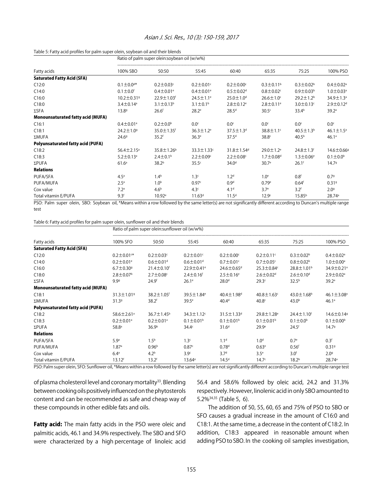#### Table 5: Fatty acid profiles for palm super olein, soybean oil and their blends

|                                          | Ratio of palm super olein:soybean oil (w/w%) |                              |                             |                             |                             |                             |                             |  |  |
|------------------------------------------|----------------------------------------------|------------------------------|-----------------------------|-----------------------------|-----------------------------|-----------------------------|-----------------------------|--|--|
| Fatty acids                              | 100% SBO                                     | 50:50                        | 55:45                       | 60:40                       | 65:35                       | 75:25                       | 100% PSO                    |  |  |
| <b>Saturated Fatty Acid (SFA)</b>        |                                              |                              |                             |                             |                             |                             |                             |  |  |
| C12:0                                    | $0.1 \pm 0.04*$                              | $0.2 \pm 0.03$ c             | $0.2 \pm 0.01$ <sup>c</sup> | $0.2 \pm 0.00$ <sup>c</sup> | $0.3 \pm 0.11$ <sup>b</sup> | $0.3 \pm 0.02^b$            | $0.4 \pm 0.02$ <sup>a</sup> |  |  |
| C14:0                                    | $0.1 \pm 0.0$ <sup>f</sup>                   | $0.4 \pm 0.01$ <sup>e</sup>  | $0.4 \pm 0.01$ <sup>e</sup> | $0.5 \pm 0.02$ <sup>d</sup> | $0.8 \pm 0.02$              | $0.9 \pm 0.03^b$            | $1.0 \pm 0.03$ <sup>a</sup> |  |  |
| C16:0                                    | $10.2 \pm 0.31$ <sup>g</sup>                 | 22.9 ± 1.03 <sup>f</sup>     | $24.5 \pm 1.1^e$            | $25.0 \pm 1.0$ <sup>d</sup> | $26.6 \pm 1.0$ <sup>c</sup> | $29.2 \pm 1.2^b$            | 34.9±1.3 <sup>a</sup>       |  |  |
| C18:0                                    | $3.4 \pm 0.14$ <sup>a</sup>                  | $3.1 \pm 0.13^b$             | $3.1 \pm 0.1^b$             | $2.8 \pm 0.12$ <sup>e</sup> | $2.8 \pm 0.11$ <sup>e</sup> | $3.0 \pm 0.13$ <sup>c</sup> | $2.9 \pm 0.12$ <sup>d</sup> |  |  |
| $\Sigma$ SFA                             | 13.89                                        | 26.6 <sup>f</sup>            | $28.2^e$                    | 28.5 <sup>d</sup>           | 30.5 <sup>c</sup>           | 33.4 <sup>b</sup>           | 39.2 <sup>a</sup>           |  |  |
| <b>Monounsaturated fatty acid (MUFA)</b> |                                              |                              |                             |                             |                             |                             |                             |  |  |
| C16:1                                    | $0.4 \pm 0.01$ <sup>a</sup>                  | $0.2 \pm 0.0^{\rm b}$        | 0.0 <sup>c</sup>            | 0.0 <sup>c</sup>            | $0.0^\circ$                 | $0.0^\circ$                 | 0.0 <sup>c</sup>            |  |  |
| C18:1                                    | $24.2 \pm 1.0$ <sup>g</sup>                  | 35.0 $\pm$ 1.35 <sup>f</sup> | $36.3 \pm 1.2$ <sup>e</sup> | $37.5 \pm 1.3$ <sup>d</sup> | $38.8 \pm 1.1$ <sup>c</sup> | $40.5 \pm 1.3^b$            | $46.1 \pm 1.5^{\circ}$      |  |  |
| ΣMUFA                                    | 24.69                                        | 35.2 <sup>f</sup>            | 36.3 <sup>e</sup>           | 37.5 <sup>d</sup>           | 38.8 <sup>c</sup>           | 40.5 <sup>b</sup>           | 46.1a                       |  |  |
| <b>Polyunsaturated fatty acid (PUFA)</b> |                                              |                              |                             |                             |                             |                             |                             |  |  |
| C18:2                                    | $56.4 \pm 2.15^{\circ}$                      | 35.8±1.26 <sup>b</sup>       | $33.3 \pm 1.33$ c           | 31.8±1.54 <sup>d</sup>      | $29.0 \pm 1.2$ <sup>e</sup> | $24.8 \pm 1.3$ <sup>f</sup> | 14.6±0.66 <sup>9</sup>      |  |  |
| C18:3                                    | $5.2 \pm 0.13$ <sup>a</sup>                  | $2.4 \pm 0.1$ <sup>b</sup>   | $2.2 \pm 0.09$ <sup>c</sup> | $2.2 \pm 0.08$ <sup>c</sup> | $1.7 \pm 0.08$ <sup>d</sup> | $1.3 \pm 0.06^e$            | $0.1 \pm 0.0^{\rm b}$       |  |  |
| ΣPUFA                                    | 61.6 <sup>a</sup>                            | 38.2 <sup>b</sup>            | 35.5 <sup>c</sup>           | 34.0 <sup>d</sup>           | 30.7 <sup>e</sup>           | 26.1 <sup>f</sup>           | 14.79                       |  |  |
| <b>Relations</b>                         |                                              |                              |                             |                             |                             |                             |                             |  |  |
| PUFA/SFA                                 | 4.5 <sup>a</sup>                             | 1.4 <sup>b</sup>             | 1.3 <sup>c</sup>            | 1.2 <sup>d</sup>            | 1.0 <sup>e</sup>            | 0.8 <sup>f</sup>            | 0.79                        |  |  |
| PUFA/MUFA                                | 2.5 <sup>a</sup>                             | 1.0 <sup>b</sup>             | 0.97c                       | 0.9 <sup>d</sup>            | 0.79e                       | 0.64 <sup>f</sup>           | 0.319                       |  |  |
| Cox value                                | 7.2 <sup>a</sup>                             | 4.6 <sup>b</sup>             | 4.3 <sup>c</sup>            | 4.1 <sup>d</sup>            | 3.7 <sup>e</sup>            | 3.2 <sup>f</sup>            | 2.09                        |  |  |
| Total vitamin E/PUFA                     | 9.3 <sup>f</sup>                             | 10.92 <sup>e</sup>           | 11.63 <sup>d</sup>          | 11.5 <sup>d</sup>           | 12.9 <sup>c</sup>           | 15.85 <sup>b</sup>          | 28.74 <sup>a</sup>          |  |  |

PSO: Palm super olein, SBO: Soybean oil, \*Means within a row followed by the same letter(s) are not significantly different according to Duncan's multiple range test

#### Table 6: Fatty acid profiles for palm super olein, sunflower oil and their blends

Ratio of palm super olein:sunflower oil (w/w%)

| Fatty acids                              | 100% SFO                     | 50:50                        | 55:45                        | 60:40                        | 65:35                        | 75:25                        | 100% PSO                     |
|------------------------------------------|------------------------------|------------------------------|------------------------------|------------------------------|------------------------------|------------------------------|------------------------------|
| <b>Saturated Fatty Acid (SFA)</b>        |                              |                              |                              |                              |                              |                              |                              |
| C12:0                                    | $0.2 \pm 0.01$ <sup>c*</sup> | $0.2 \pm 0.03$ c             | $0.2 \pm 0.01$ <sup>c</sup>  | $0.2 \pm 0.00$ <sup>c</sup>  | $0.2 \pm 0.11$ <sup>c</sup>  | $0.3 \pm 0.02^b$             | $0.4 \pm 0.02$ <sup>a</sup>  |
| C14:0                                    | $0.2 \pm 0.01$ <sup>e</sup>  | $0.6 \pm 0.01$ <sup>d</sup>  | $0.6 \pm 0.01$ <sup>d</sup>  | $0.7 \pm 0.01$ <sup>c</sup>  | $0.7 \pm 0.05$ c             | $0.8 \pm 0.02^b$             | $1.0 \pm 0.00^a$             |
| C16:0                                    | $6.7 \pm 0.30$ <sup>g</sup>  | $21.4 \pm 0.10$ <sup>f</sup> | $22.9 \pm 0.41$ <sup>e</sup> | 24.6±0.65 <sup>d</sup>       | $25.3 \pm 0.84$ <sup>c</sup> | $28.8 \pm 1.01$ <sup>b</sup> | 34.9±0.21 <sup>a</sup>       |
| C18:0                                    | $2.8 \pm 0.07$ <sup>b</sup>  | $2.7 \pm 0.08$ c             | $2.4 \pm 0.16$ <sup>f</sup>  | $2.5 \pm 0.16^e$             | $2.6 \pm 0.02$ <sup>d</sup>  | $2.6 \pm 0.10$ <sup>d</sup>  | $2.9 \pm 0.02$ <sup>a</sup>  |
| $\Sigma$ SFA                             | 9.99                         | 24.9 <sup>f</sup>            | 26.1 <sup>e</sup>            | 28.0 <sup>d</sup>            | 29.3 <sup>c</sup>            | 32.5 <sup>b</sup>            | 39.2 <sup>a</sup>            |
| <b>Monounsaturated fatty acid (MUFA)</b> |                              |                              |                              |                              |                              |                              |                              |
| C18:1                                    | $31.3 \pm 1.019$             | 38.2 $\pm$ 1.05 <sup>f</sup> | 39.5 ± 1.84 <sup>e</sup>     | 40.4 $\pm$ 1.98 <sup>d</sup> | $40.8 \pm 1.63$ <sup>c</sup> | 43.0 $\pm$ 1.68 <sup>b</sup> | 46.1 $\pm$ 3.08 <sup>a</sup> |
| ΣMUFA                                    | 31.39                        | 38.2 <sup>f</sup>            | 39.5 <sup>e</sup>            | 40.4 <sup>d</sup>            | 40.8 <sup>c</sup>            | 43.0 <sup>b</sup>            | 46.1a                        |
| <b>Polyunsaturated fatty acid (PUFA)</b> |                              |                              |                              |                              |                              |                              |                              |
| C18:2                                    | $58.6 \pm 2.61$ <sup>a</sup> | $36.7 \pm 1.45^{\circ}$      | $34.3 \pm 1.12$ <sup>c</sup> | $31.5 \pm 1.33$ <sup>d</sup> | $29.8 \pm 1.28$ <sup>e</sup> | $24.4 \pm 1.10$ <sup>f</sup> | 14.6±0.14 <sup>9</sup>       |
| C18:3                                    | $0.2 \pm 0.01$ <sup>a</sup>  | $0.2 \pm 0.01$ <sup>a</sup>  | $0.1 \pm 0.01^{\rm b}$       | $0.1 \pm 0.01^{\rm b}$       | $0.1 \pm 0.01$ <sup>b</sup>  | $0.1 \pm 0.0^{\rm b}$        | $0.1 \pm 0.00^{\circ}$       |
| $\Sigma$ PUFA                            | 58.8 <sup>a</sup>            | 36.9 <sup>b</sup>            | 34.4 <sup>c</sup>            | 31.6 <sup>d</sup>            | 29.9 <sup>e</sup>            | 24.5 <sup>f</sup>            | 14.79                        |
| <b>Relations</b>                         |                              |                              |                              |                              |                              |                              |                              |
| PUFA/SFA                                 | 5.9 <sup>a</sup>             | 1.5 <sup>b</sup>             | 1.3 <sup>c</sup>             | 1.1 <sup>d</sup>             | 1.0 <sup>d</sup>             | 0.7 <sup>e</sup>             | 0.3 <sup>f</sup>             |
| PUFA/MUFA                                | 1.87 <sup>a</sup>            | 0.96 <sup>b</sup>            | 0.87c                        | 0.78 <sup>d</sup>            | 0.63 <sup>e</sup>            | 0.56 <sup>f</sup>            | 0.319                        |
| Cox value                                | 6.4 <sup>a</sup>             | 4.2 <sup>b</sup>             | 3.9 <sup>c</sup>             | 3.7 <sup>d</sup>             | 3.5 <sup>e</sup>             | 3.0 <sup>f</sup>             | 2.09                         |
| Total vitamin E/PUFA                     | 13.12 <sup>f</sup>           | 13.2 <sup>f</sup>            | $13.64^e$                    | 14.5 <sup>d</sup>            | 14.7 <sup>c</sup>            | 18.2 <sup>b</sup>            | 28.74 <sup>a</sup>           |

PSO: Palm super olein, SFO: Sunflower oil, \*Means within a row followed by the same letter(s) are not significantly different according to Duncan's multiple range test

of plasma cholesterol level and coronary mortality<sup>33</sup>. Blending between cooking oils positively influenced on the phytosterols content and can be recommended as safe and cheap way of these compounds in other edible fats and oils.

Fatty acid: The main fatty acids in the PSO were oleic and palmitic acids, 46.1 and 34.9% respectively. The SBO and SFO were characterized by a high percentage of linoleic acid 56.4 and 58.6% followed by oleic acid, 24.2 and 31.3% respectively. However, linolenic acid in only SBO amounted to 5.2%34,35 (Table 5, 6).

The addition of 50, 55, 60, 65 and 75% of PSO to SBO or SFO causes a gradual increase in the amount of C16:0 and C18:1. At the same time, a decrease in the content of C18:2. In addition, C18:3 appeared in reasonable amount when adding PSO to SBO. In the cooking oil samples investigation,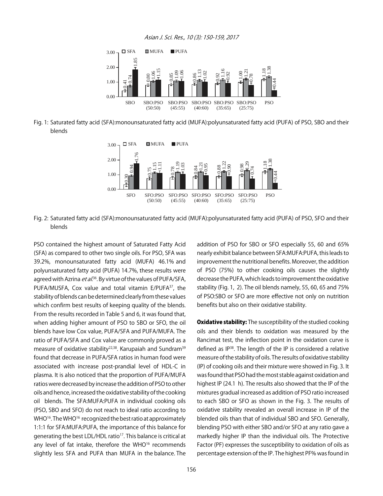#### Asian J. Sci. Res., 10 (3): 150-159, 2017



Fig. 1: Saturated fatty acid (SFA):monounsaturated fatty acid (MUFA):polyunsaturated fatty acid (PUFA) of PSO, SBO and their blends



Fig. 2: Saturated fatty acid (SFA):monounsaturated fatty acid (MUFA):polyunsaturated fatty acid (PUFA) of PSO, SFO and their blends

PSO contained the highest amount of Saturated Fatty Acid (SFA) as compared to other two single oils. For PSO, SFA was 39.2%, monounsaturated fatty acid (MUFA) 46.1% and polyunsaturated fatty acid (PUFA) 14.7%, these results were agreed with Azrina *et al*.<sup>36</sup>. By virtue of the values of PUFA/SFA, PUFA/MUSFA, Cox value and total vitamin E/PUFA37, the stability of blends can be determined clearly from these values which confirm best results of keeping quality of the blends. From the results recorded in Table 5 and 6, it was found that, when adding higher amount of PSO to SBO or SFO, the oil blends have low Cox value, PUFA/SFA and PUFA/MUFA. The ratio of PUFA/SFA and Cox value are commonly proved as a measure of oxidative stability<sup>22,38</sup>. Karupaiah and Sundram<sup>39</sup> found that decrease in PUFA/SFA ratios in human food were associated with increase post-prandial level of HDL-C in plasma. It is also noticed that the proportion of PUFA/MUFA ratios were decreased by increase the addition of PSO to other oils and hence, increased the oxidative stability of the cooking oil blends. The SFA:MUFA:PUFA in individual cooking oils (PSO, SBO and SFO) do not reach to ideal ratio according to WHO<sup>16</sup>. The WHO<sup>16</sup> recognized the best ratio at approximately 1:1:1 for SFA:MUFA:PUFA, the importance of this balance for generating the best LDL/HDL ratio<sup>17</sup>. This balance is critical at any level of fat intake, therefore the WHO<sup>16</sup> recommends slightly less SFA and PUFA than MUFA in the balance. The

addition of PSO for SBO or SFO especially 55, 60 and 65% nearly exhibit balance between SFA:MUFA:PUFA, this leads to improvement the nutritional benefits. Moreover, the addition of PSO (75%) to other cooking oils causes the slightly decrease the PUFA, which leads to improvement the oxidative stability (Fig. 1, 2). The oil blends namely, 55, 60, 65 and 75% of PSO:SBO or SFO are more effective not only on nutrition benefits but also on their oxidative stability.

**Oxidative stability:** The susceptibility of the studied cooking oils and their blends to oxidation was measured by the Rancimat test, the inflection point in the oxidation curve is defined as IP38. The length of the IP is considered a relative measure of the stability of oils. The results of oxidative stability (IP) of cooking oils and their mixture were showed in Fig. 3. It was found that PSO had the most stable against oxidation and highest IP (24.1 h). The results also showed that the IP of the mixtures gradual increased as addition of PSO ratio increased to each SBO or SFO as shown in the Fig. 3. The results of oxidative stability revealed an overall increase in IP of the blended oils than that of individual SBO and SFO. Generally, blending PSO with either SBO and/or SFO at any ratio gave a markedly higher IP than the individual oils. The Protective Factor (PF) expresses the susceptibility to oxidation of oils as percentage extension of the IP. The highest PF% was found in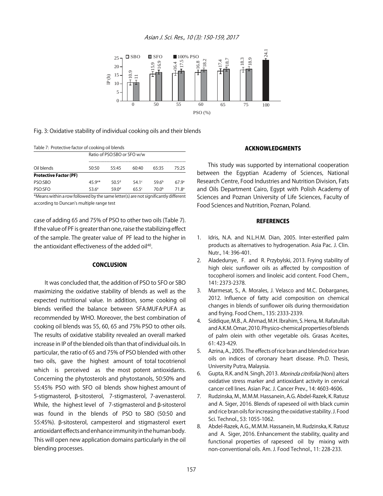#### Asian J. Sci. Res., 10 (3): 150-159, 2017



#### Fig. 3: Oxidative stability of individual cooking oils and their blends

| Table 7: Protective factor of cooking oil blends |                             |                   |                   |                   |                   |  |  |  |
|--------------------------------------------------|-----------------------------|-------------------|-------------------|-------------------|-------------------|--|--|--|
|                                                  | Ratio of PSO:SBO or SFO w/w |                   |                   |                   |                   |  |  |  |
| Oil blends                                       | 50:50                       | 55.45             | 60.40             | 65.35             | 75.25             |  |  |  |
| <b>Protective Factor (PF)</b>                    |                             |                   |                   |                   |                   |  |  |  |
| PSO:SBO                                          | $45.9e*$                    | 50.5 <sup>d</sup> | 54.1 $c$          | 59.6 <sup>b</sup> | 67.9 <sup>a</sup> |  |  |  |
| PSO:SFO                                          | 53.6 <sup>e</sup>           | 59.0 <sup>d</sup> | 65.5 <sup>c</sup> | 70.0 <sup>b</sup> | 71.8 <sup>a</sup> |  |  |  |

\*Means within a row followed by the same letter(s) are not significantly different according to Duncan's multiple range test

case of adding 65 and 75% of PSO to other two oils (Table 7). If the value of PF is greater than one, raise the stabilizing effect of the sample. The greater value of PF lead to the higher in the antioxidant effectiveness of the added oil<sup>40</sup>.

#### **CONCLUSION**

It was concluded that, the addition of PSO to SFO or SBO maximizing the oxidative stability of blends as well as the expected nutritional value. In addition, some cooking oil blends verified the balance between SFA:MUFA:PUFA as recommended by WHO. Moreover, the best combination of cooking oil blends was 55, 60, 65 and 75% PSO to other oils. The results of oxidative stability revealed an overall marked increase in IP of the blended oils than that of individual oils. In particular, the ratio of 65 and 75% of PSO blended with other two oils, gave the highest amount of total tocotrienol which is perceived as the most potent antioxidants. Concerning the phytosterols and phytostanols, 50:50% and 55:45% PSO with SFO oil blends show highest amount of 5-stigmasterol, \$-sitosterol, 7-stigmasterol, 7-avenasterol. While, the highest level of 7-stigmasterol and B-sitosterol was found in the blends of PSO to SBO (50:50 and 55:45%).  $\beta$ -sitosterol, campesterol and stigmasterol exert antioxidant effects and enhance immunity in the human body. This will open new application domains particularly in the oil blending processes.

#### ACKNOWLEDGMENTS

This study was supported by international cooperation between the Egyptian Academy of Sciences, National Research Centre, Food Industries and Nutrition Division, Fats and Oils Department Cairo, Egypt with Polish Academy of Sciences and Poznan University of Life Sciences, Faculty of Food Sciences and Nutrition, Poznan, Poland.

#### **REFERENCES**

- 1. Idris, N.A. and N.L.H.M. Dian, 2005. Inter-esterified palm products as alternatives to hydrogenation. Asia Pac. J. Clin. Nutr., 14: 396-401.
- 2. Aladedunye, F. and R. Przybylski, 2013. Frying stability of high oleic sunflower oils as affected by composition of tocopherol isomers and linoleic acid content. Food Chem., 141: 2373-2378.
- 3. Marmesat, S., A. Morales, J. Velasco and M.C. Dobarganes, 2012. Influence of fatty acid composition on chemical changes in blends of sunflower oils during thermoxidation and frying. Food Chem., 135: 2333-2339.
- 4. Siddique, M.B., A. Ahmad, M.H. Ibrahim, S. Hena, M. Rafatullah and A.K.M. Omar, 2010. Physico-chemical properties of blends of palm olein with other vegetable oils. Grasas Aceites, 61: 423-429.
- 5. Azrina, A., 2005. The effects of rice bran and blended rice bran oils on indices of coronary heart disease. Ph.D. Thesis, University Putra, Malaysia.
- 6. Gupta, R.K. and N. Singh, 2013. Morinda citrifolia (Noni) alters oxidative stress marker and antioxidant activity in cervical cancer cell lines. Asian Pac. J. Cancer Prev., 14: 4603-4606.
- 7. Rudzinska, M., M.M.M. Hassanein, A.G. Abdel-Razek, K. Ratusz and A. Siger, 2016. Blends of rapeseed oil with black cumin and rice bran oils for increasing the oxidative stability. J. Food Sci. Technol., 53: 1055-1062.
- 8. Abdel-Razek, A.G., M.M.M. Hassanein, M. Rudzinska, K. Ratusz and A. Siger, 2016. Enhancement the stability, quality and functional properties of rapeseed oil by mixing with non-conventional oils. Am. J. Food Technol., 11: 228-233.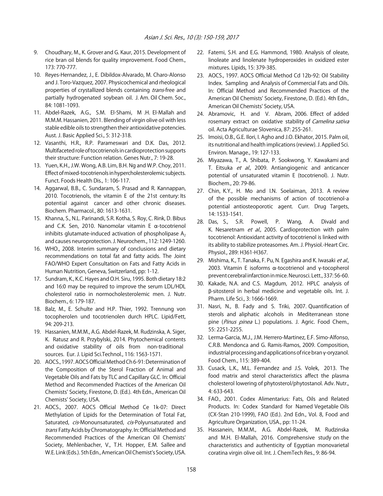- 9. Choudhary, M., K. Grover and G. Kaur, 2015. Development of rice bran oil blends for quality improvement. Food Chem., 173: 770-777.
- 10. Reyes-Hernandez, J., E. Dibildox-Alvarado, M. Charo-Alonso and J. Toro-Vazquez, 2007. Physicochemical and rheological properties of crystallized blends containing trans-free and partially hydrogenated soybean oil. J. Am. Oil Chem. Soc., 84: 1081-1093.
- 11. Abdel-Razek, A.G., S.M. El-Shami, M .H. El-Mallah and M.M.M. Hassanien, 2011. Blending of virgin olive oil with less stable edible oils to strengthen their antioxidative potencies. Aust. J. Basic Applied Sci., 5: 312-318.
- 12. Vasanthi, H.R., R.P. Parameswari and D.K. Das, 2012. Multifaceted role of tocotrienols in cardioprotection supports their structure: Function relation. Genes Nutr., 7: 19-28.
- 13. Yuen, K.H., J.W. Wong, A.B. Lim, B.H. Ng and W.P. Choy, 2011. Effect of mixed-tocotrienols in hypercholesterolemic subjects. Funct. Foods Health Dis., 1: 106-117.
- 14. Aggarwal, B.B., C. Sundaram, S. Prasad and R. Kannappan, 2010. Tocotrienols, the vitamin E of the 21st century: Its potential against cancer and other chronic diseases. Biochem. Pharmacol., 80: 1613-1631.
- 15. Khanna, S., N.L. Parinandi, S.R. Kotha, S. Roy, C. Rink, D. Bibus and C.K. Sen, 2010. Nanomolar vitamin E  $\alpha$ -tocotrienol inhibits glutamate-induced activation of phospholipase  $A_2$ and causes neuroprotection. J. Neurochem., 112: 1249-1260.
- 16. WHO., 2008. Interim summary of conclusions and dietary recommendations on total fat and fatty acids. The Joint FAO/WHO Expert Consultation on Fats and Fatty Acids in Human Nutrition, Geneva, Switzerland, pp: 1-12.
- 17. Sundram, K., K.C. Hayes and O.H. Siru, 1995. Both dietary 18:2 and 16:0 may be required to improve the serum LDL/HDL cholesterol ratio in normocholesterolemic men. J. Nutr. Biochem., 6: 179-187.
- 18. Balz, M., E. Schulte and H.P. Thier, 1992. Trennung von tocopherolen und tocotrienolen durch HPLC. Lipid/Fett, 94: 209-213.
- 19. Hassanien, M.M.M., A.G. Abdel-Razek, M. Rudzinska, A. Siger, K. Ratusz and R. Przybylski, 2014. Phytochemical contents and oxidative stability of oils from non-traditional sources. Eur. J. Lipid Sci.Technol., 116: 1563-1571.
- 20. AOCS., 1997. AOCS Official Method Ch 6-91: Determination of the Composition of the Sterol Fraction of Animal and Vegetable Oils and Fats by TLC and Capillary GLC. In: Official Method and Recommended Practices of the American Oil Chemists' Society, Firestone, D. (Ed.). 4th Edn., American Oil Chemists' Society, USA.
- 21. AOCS., 2007. AOCS Official Method Ce 1k-07: Direct Methylation of Lipids for the Determination of Total Fat, Saturated, cis-Monounsaturated, cis-Polyunsaturated and trans Fatty Acids by Chromatography. In: Official Method and Recommended Practices of the American Oil Chemists' Society, Mehlenbacher, V., T.H. Hopper, E.M. Sallee and W.E. Link (Eds.). 5th Edn., American Oil Chemist's Society, USA.
- 22. Fatemi, S.H. and E.G. Hammond, 1980. Analysis of oleate, linoleate and linolenate hydroperoxides in oxidized ester mixtures. Lipids, 15: 379-385.
- 23. AOCS., 1997. AOCS Official Method Cd 12b-92: Oil Stability Index. Sampling and Analysis of Commercial Fats and Oils. In: Official Method and Recommended Practices of the American Oil Chemists' Society, Firestone, D. (Ed.). 4th Edn., American Oil Chemists' Society, USA.
- 24. Abramovic, H. and V. Abram, 2006. Effect of added rosemary extract on oxidative stability of Camelina sativa oil. Acta Agriculturae Slovenica, 87: 255-261.
- 25. Imoisi, O.B., G.E. Ilori, I. Agho and J.O. Ekhator, 2015. Palm oil, its nutritional and health implications (review). J. Applied Sci. Environ. Manage., 19: 127-133.
- 26. Miyazawa, T., A. Shibata, P. Sookwong, Y. Kawakami and T. Eitsuka et al., 2009. Antiangiogenic and anticancer potential of unsaturated vitamin E (tocotrienol). J. Nutr. Biochem., 20: 79-86.
- 27. Chin, K.Y., H. Mo and I.N. Soelaiman, 2013. A review of the possible mechanisms of action of tocotrienol-a potential antiosteoporotic agent. Curr. Drug Targets, 14: 1533-1541.
- 28. Das, S., S.R. Powell, P. Wang, A. Divald and K. Nesaretnam et al., 2005. Cardioprotection with palm tocotrienol: Antioxidant activity of tocotrienol is linked with its ability to stabilize proteasomes. Am. J. Physiol.-Heart Circ. Physiol., 289: H361-H367.
- 29. Mishima, K., T. Tanaka, F. Pu, N. Egashira and K. Iwasaki et al., 2003. Vitamin E isoforms  $\alpha$ -tocotrienol and y-tocopherol prevent cerebral infarction in mice. Neurosci. Lett., 337: 56-60.
- 30. Kakade, N.A. and C.S. Magdum, 2012. HPLC analysis of \$-sitosterol in herbal medicine and vegetable oils. Int. J. Pharm. Life Sci., 3: 1666-1669.
- 31. Nasri, N., B. Fady and S. Triki, 2007. Quantification of sterols and aliphatic alcohols in Mediterranean stone pine (Pinus pinea L.) populations. J. Agric. Food Chem., 55: 2251-2255.
- 32. Lerma-Garcia, M.J., J.M. Herrero-Martinez, E.F. Simo-Alfonso, C.R.B. Mendonca and G. Ramis-Ramos, 2009. Composition, industrial processing and applications of rice bran  $\gamma$ -oryzanol. Food Chem., 115: 389-404.
- 33. Cusack, L.K., M.L. Fernandez and J.S. Volek, 2013. The food matrix and sterol characteristics affect the plasma cholesterol lowering of phytosterol/phytostanol. Adv. Nutr., 4: 633-643.
- 34. FAO., 2001. Codex Alimentarius: Fats, Oils and Related Products. In: Codex Standard for Named Vegetable Oils (CX-Stan 210-1999), FAO (Ed.). 2nd Edn., Vol. 8, Food and Agriculture Organization, USA., pp: 11-24.
- 35. Hassanein, M.M.M., A.G. Abdel-Razek, M. Rudzinska and M.H. El-Mallah, 2016. Comprehensive study on the characteristics and authenticity of Egyptian monovarietal coratina virgin olive oil. Int. J. ChemTech Res., 9: 86-94.